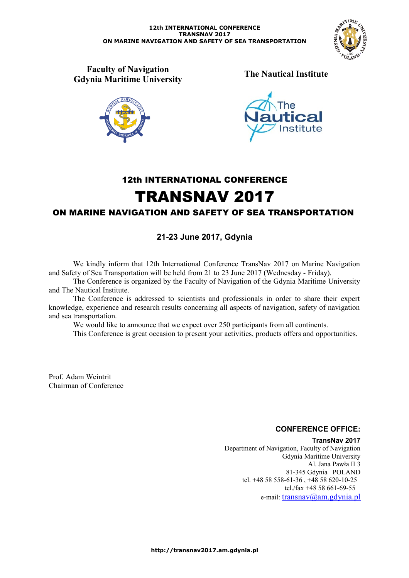

**Faculty of Navigation Gdynia Maritime University The Nautical Institute**





# 12th INTERNATIONAL CONFERENCE TRANSNAV 2017

# ON MARINE NAVIGATION AND SAFETY OF SEA TRANSPORTATION

# **21-23 June 2017, Gdynia**

We kindly inform that 12th International Conference TransNav 2017 on Marine Navigation and Safety of Sea Transportation will be held from 21 to 23 June 2017 (Wednesday - Friday).

The Conference is organized by the Faculty of Navigation of the Gdynia Maritime University and The Nautical Institute.

The Conference is addressed to scientists and professionals in order to share their expert knowledge, experience and research results concerning all aspects of navigation, safety of navigation and sea transportation.

We would like to announce that we expect over 250 participants from all continents.

This Conference is great occasion to present your activities, products offers and opportunities.

Prof. Adam Weintrit Chairman of Conference

# **CONFERENCE OFFICE:**

**TransNav 2017**

Department of Navigation, Faculty of Navigation Gdynia Maritime University Al. Jana Pawła II 3 81-345 Gdynia POLAND tel. +48 58 558-61-36 , +48 58 620-10-25 tel./fax +48 58 661-69-55 e-mail: [transnav@am.gdynia.pl](mailto:transnav@am.gdynia.pl?subject=TransNav%202007)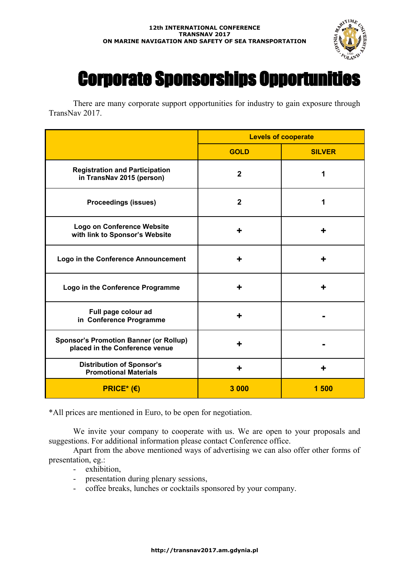

# Corporate Sponsorships Opportunities

There are many corporate support opportunities for industry to gain exposure through TransNav 2017.

|                                                                                 | <b>Levels of cooperate</b> |               |
|---------------------------------------------------------------------------------|----------------------------|---------------|
|                                                                                 | <b>GOLD</b>                | <b>SILVER</b> |
| <b>Registration and Participation</b><br>in TransNav 2015 (person)              | $\mathbf{2}$               | 1             |
| <b>Proceedings (issues)</b>                                                     | $\overline{2}$             | 1             |
| <b>Logo on Conference Website</b><br>with link to Sponsor's Website             | ┿                          | ÷             |
| Logo in the Conference Announcement                                             | ┿                          |               |
| Logo in the Conference Programme                                                | ╇                          |               |
| Full page colour ad<br>in Conference Programme                                  | ┿                          |               |
| <b>Sponsor's Promotion Banner (or Rollup)</b><br>placed in the Conference venue | ┿                          |               |
| <b>Distribution of Sponsor's</b><br><b>Promotional Materials</b>                | ┿                          | ╋             |
| $PRICE*$ (€)                                                                    | 3 000                      | 1500          |

\*All prices are mentioned in Euro, to be open for negotiation.

We invite your company to cooperate with us. We are open to your proposals and suggestions. For additional information please contact Conference office.

Apart from the above mentioned ways of advertising we can also offer other forms of presentation, eg.:

- exhibition,
- presentation during plenary sessions,
- coffee breaks, lunches or cocktails sponsored by your company.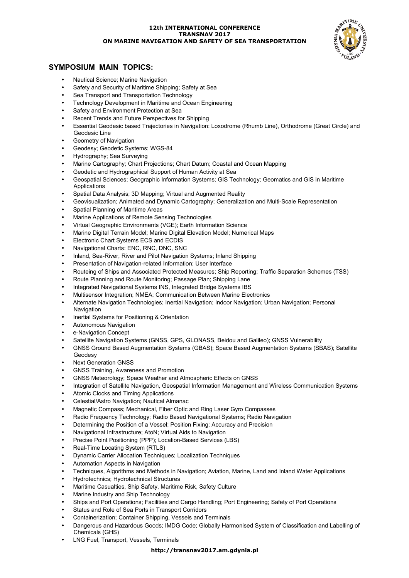

## **SYMPOSIUM MAIN TOPICS:**

- Nautical Science; Marine Navigation
- Safety and Security of Maritime Shipping; Safety at Sea
- Sea Transport and Transportation Technology
- Technology Development in Maritime and Ocean Engineering
- Safety and Environment Protection at Sea
- Recent Trends and Future Perspectives for Shipping
- Essential Geodesic based Trajectories in Navigation: Loxodrome (Rhumb Line), Orthodrome (Great Circle) and Geodesic Line
- **Geometry of Navigation**
- Geodesy; Geodetic Systems; WGS-84
- Hydrography; Sea Surveying
- Marine Cartography; Chart Projections; Chart Datum; Coastal and Ocean Mapping
- Geodetic and Hydrographical Support of Human Activity at Sea
- Geospatial Sciences; Geographic Information Systems; GIS Technology; Geomatics and GIS in Maritime Applications
- Spatial Data Analysis; 3D Mapping; Virtual and Augmented Reality
- Geovisualization; Animated and Dynamic Cartography; Generalization and Multi-Scale Representation
- Spatial Planning of Maritime Areas
- Marine Applications of Remote Sensing Technologies
- Virtual Geographic Environments (VGE); Earth Information Science
- Marine Digital Terrain Model; Marine Digital Elevation Model; Numerical Maps
- Electronic Chart Systems ECS and ECDIS
- Navigational Charts: ENC, RNC, DNC, SNC
- Inland, Sea-River, River and Pilot Navigation Systems; Inland Shipping
- Presentation of Navigation-related Information; User Interface
- Routeing of Ships and Associated Protected Measures; Ship Reporting; Traffic Separation Schemes (TSS)
- Route Planning and Route Monitoring; Passage Plan; Shipping Lane
- Integrated Navigational Systems INS, Integrated Bridge Systems IBS
- Multisensor Integration; NMEA; Communication Between Marine Electronics
- Alternate Navigation Technologies; Inertial Navigation; Indoor Navigation; Urban Navigation; Personal Navigation
- Inertial Systems for Positioning & Orientation
- Autonomous Navigation
- e-Navigation Concept
- Satellite Navigation Systems (GNSS, GPS, GLONASS, Beidou and Galileo); GNSS Vulnerability
- GNSS Ground Based Augmentation Systems (GBAS); Space Based Augmentation Systems (SBAS); Satellite Geodesy
- Next Generation GNSS
- GNSS Training, Awareness and Promotion
- GNSS Meteorology; Space Weather and Atmospheric Effects on GNSS
- Integration of Satellite Navigation, Geospatial Information Management and Wireless Communication Systems
- Atomic Clocks and Timing Applications
- Celestial/Astro Navigation; Nautical Almanac
- Magnetic Compass; Mechanical, Fiber Optic and Ring Laser Gyro Compasses
- Radio Frequency Technology; Radio Based Navigational Systems; Radio Navigation
- Determining the Position of a Vessel; Position Fixing; Accuracy and Precision
- Navigational Infrastructure; AtoN; Virtual Aids to Navigation
- Precise Point Positioning (PPP); Location-Based Services (LBS)
- Real-Time Locating System (RTLS)
- Dynamic Carrier Allocation Techniques; Localization Techniques
- Automation Aspects in Navigation
- Techniques, Algorithms and Methods in Navigation; Aviation, Marine, Land and Inland Water Applications
- Hydrotechnics; Hydrotechnical Structures
- Maritime Casualties, Ship Safety, Maritime Risk, Safety Culture
- Marine Industry and Ship Technology
- Ships and Port Operations; Facilities and Cargo Handling; Port Engineering; Safety of Port Operations
- Status and Role of Sea Ports in Transport Corridors
- Containerization; Container Shipping, Vessels and Terminals
- Dangerous and Hazardous Goods; IMDG Code; Globally Harmonised System of Classification and Labelling of Chemicals (GHS)
- LNG Fuel, Transport, Vessels, Terminals

### **http://transnav2017.am.gdynia.pl**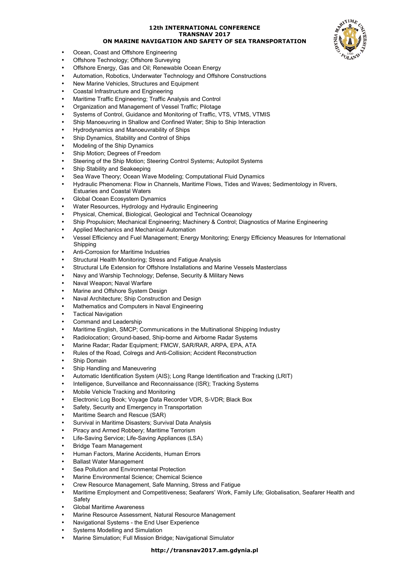- Ocean, Coast and Offshore Engineering
- Offshore Technology; Offshore Surveying
- Offshore Energy, Gas and Oil; Renewable Ocean Energy
- Automation, Robotics, Underwater Technology and Offshore Constructions
- New Marine Vehicles, Structures and Equipment
- Coastal Infrastructure and Engineering
- Maritime Traffic Engineering; Traffic Analysis and Control
- Organization and Management of Vessel Traffic; Pilotage
- Systems of Control, Guidance and Monitoring of Traffic, VTS, VTMS, VTMIS
- Ship Manoeuvring in Shallow and Confined Water; Ship to Ship Interaction
- Hydrodynamics and Manoeuvrability of Ships
- Ship Dynamics, Stability and Control of Ships
- Modeling of the Ship Dynamics
- Ship Motion; Degrees of Freedom
- Steering of the Ship Motion; Steering Control Systems; Autopilot Systems
- Ship Stability and Seakeeping
- Sea Wave Theory; Ocean Wave Modeling; Computational Fluid Dynamics
- Hydraulic Phenomena: Flow in Channels, Maritime Flows, Tides and Waves; Sedimentology in Rivers, Estuaries and Coastal Waters
- Global Ocean Ecosystem Dynamics
- Water Resources, Hydrology and Hydraulic Engineering
- Physical, Chemical, Biological, Geological and Technical Oceanology
- Ship Propulsion; Mechanical Engineering; Machinery & Control; Diagnostics of Marine Engineering
- Applied Mechanics and Mechanical Automation
- Vessel Efficiency and Fuel Management; Energy Monitoring; Energy Efficiency Measures for International **Shipping**
- Anti-Corrosion for Maritime Industries
- Structural Health Monitoring; Stress and Fatigue Analysis
- Structural Life Extension for Offshore Installations and Marine Vessels Masterclass
- Navy and Warship Technology; Defense, Security & Military News
- Naval Weapon; Naval Warfare
- Marine and Offshore System Design
- Naval Architecture; Ship Construction and Design
- Mathematics and Computers in Naval Engineering
- Tactical Navigation
- Command and Leadership
- Maritime English, SMCP; Communications in the Multinational Shipping Industry
- Radiolocation; Ground-based, Ship-borne and Airborne Radar Systems
- Marine Radar; Radar Equipment; FMCW, SAR/RAR, ARPA, EPA, ATA
- Rules of the Road, Colregs and Anti-Collision; Accident Reconstruction
- Ship Domain
- Ship Handling and Maneuvering
- Automatic Identification System (AIS); Long Range Identification and Tracking (LRIT)
- Intelligence, Surveillance and Reconnaissance (ISR); Tracking Systems
- Mobile Vehicle Tracking and Monitoring
- Electronic Log Book; Voyage Data Recorder VDR, S-VDR; Black Box
- Safety, Security and Emergency in Transportation
- Maritime Search and Rescue (SAR)
- Survival in Maritime Disasters; Survival Data Analysis
- Piracy and Armed Robbery; Maritime Terrorism
- Life-Saving Service; Life-Saving Appliances (LSA)
- Bridge Team Management
- Human Factors, Marine Accidents, Human Errors
- Ballast Water Management
- Sea Pollution and Environmental Protection
- Marine Environmental Science; Chemical Science
- Crew Resource Management, Safe Manning, Stress and Fatigue
- Maritime Employment and Competitiveness; Seafarers' Work, Family Life; Globalisation, Seafarer Health and Safety
- Global Maritime Awareness
- Marine Resource Assessment, Natural Resource Management
- Navigational Systems the End User Experience
- Systems Modelling and Simulation
- Marine Simulation; Full Mission Bridge; Navigational Simulator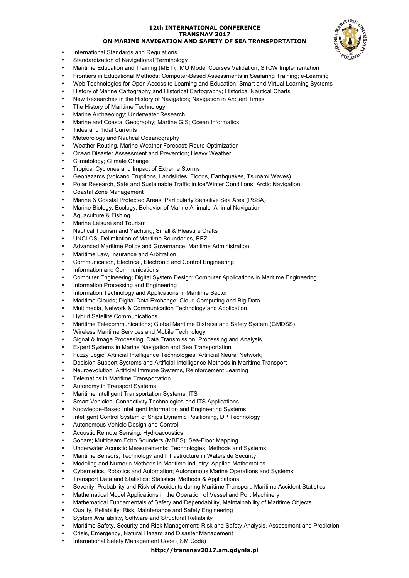

- International Standards and Regulations
- Standardization of Navigational Terminology • Maritime Education and Training (MET); IMO Model Courses Validation; STCW Implementation
- Frontiers in Educational Methods; Computer-Based Assessments in Seafaring Training; e-Learning
- Web Technologies for Open Access to Learning and Education; Smart and Virtual Learning Systems
- History of Marine Cartography and Historical Cartography; Historical Nautical Charts
- New Researches in the History of Navigation; Navigation in Ancient Times
- The History of Maritime Technology
- Marine Archaeology; Underwater Research
- Marine and Coastal Geography; Martine GIS; Ocean Informatics
- Tides and Tidal Currents
- Meteorology and Nautical Oceanography
- Weather Routing, Marine Weather Forecast; Route Optimization
- Ocean Disaster Assessment and Prevention; Heavy Weather
- Climatology; Climate Change
- Tropical Cyclones and Impact of Extreme Storms
- Geohazards (Volcano Eruptions, Landslides, Floods, Earthquakes, Tsunami Waves)
- Polar Research, Safe and Sustainable Traffic in Ice/Winter Conditions; Arctic Navigation
- Coastal Zone Management
- Marine & Coastal Protected Areas; Particularly Sensitive Sea Area (PSSA)
- Marine Biology, Ecology, Behavior of Marine Animals; Animal Navigation
- Aquaculture & Fishing
- Marine Leisure and Tourism
- Nautical Tourism and Yachting; Small & Pleasure Crafts
- UNCLOS, Delimitation of Maritime Boundaries, EEZ
- Advanced Maritime Policy and Governance; Maritime Administration
- Maritime Law, Insurance and Arbitration
- Communication, Electrical, Electronic and Control Engineering
- Information and Communications
- Computer Engineering; Digital System Design; Computer Applications in Maritime Engineering
- Information Processing and Engineering
- Information Technology and Applications in Maritime Sector
- Maritime Clouds; Digital Data Exchange; Cloud Computing and Big Data
- Multimedia, Network & Communication Technology and Application
- Hybrid Satellite Communications
- Maritime Telecommunications; Global Maritime Distress and Safety System (GMDSS)
- Wireless Maritime Services and Mobile Technology
- Signal & Image Processing; Data Transmission, Processing and Analysis
- Expert Systems in Marine Navigation and Sea Transportation
- Fuzzy Logic; Artificial Intelligence Technologies; Artificial Neural Network;
- Decision Support Systems and Artificial Intelligence Methods in Maritime Transport
- Neuroevolution, Artificial Immune Systems, Reinforcement Learning
- Telematics in Maritime Transportation
- Autonomy in Transport Systems
- Maritime Intelligent Transportation Systems; ITS
- Smart Vehicles: Connectivity Technologies and ITS Applications
- Knowledge-Based Intelligent Information and Engineering Systems
- Intelligent Control System of Ships Dynamic Positioning, DP Technology
- Autonomous Vehicle Design and Control
- Acoustic Remote Sensing, Hydroacoustics
- Sonars; Multibeam Echo Sounders (MBES); Sea-Floor Mapping
- Underwater Acoustic Measurements: Technologies, Methods and Systems
- Maritime Sensors, Technology and Infrastructure in Waterside Security
- Modeling and Numeric Methods in Maritime Industry; Applied Mathematics
- Cybernetics, Robotics and Automation; Autonomous Marine Operations and Systems
- Transport Data and Statistics; Statistical Methods & Applications
- Severity, Probability and Risk of Accidents during Maritime Transport; Maritime Accident Statistics
- Mathematical Model Applications in the Operation of Vessel and Port Machinery
- Mathematical Fundamentals of Safety and Dependability, Maintainability of Maritime Objects
- Quality, Reliability, Risk, Maintenance and Safety Engineering
- System Availability, Software and Structural Reliability
- Maritime Safety, Security and Risk Management; Risk and Safety Analysis, Assessment and Prediction
- Crisis, Emergency, Natural Hazard and Disaster Management
	- International Safety Management Code (ISM Code)